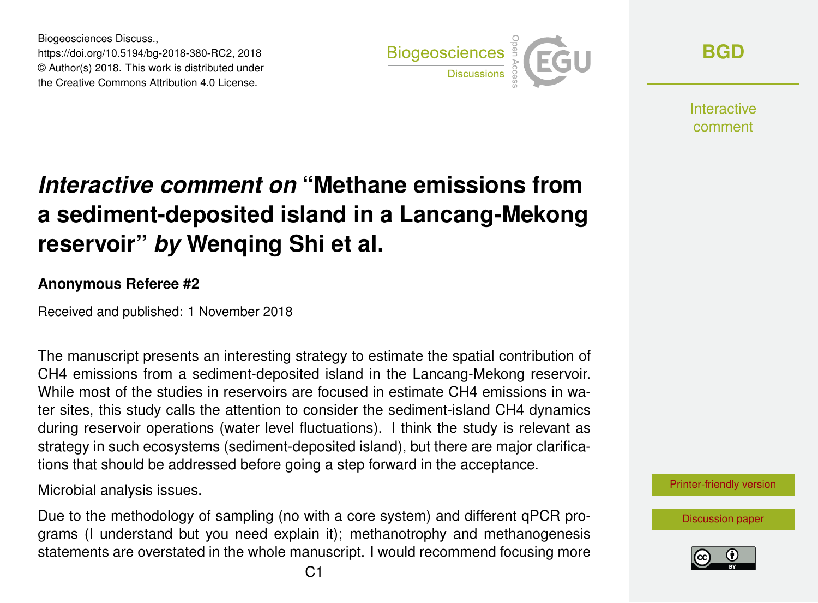Biogeosciences Discuss., https://doi.org/10.5194/bg-2018-380-RC2, 2018 © Author(s) 2018. This work is distributed under the Creative Commons Attribution 4.0 License.



**[BGD](https://www.biogeosciences-discuss.net/)**

**Interactive** comment

## *Interactive comment on* **"Methane emissions from a sediment-deposited island in a Lancang-Mekong reservoir"** *by* **Wenqing Shi et al.**

## **Anonymous Referee #2**

Received and published: 1 November 2018

The manuscript presents an interesting strategy to estimate the spatial contribution of CH4 emissions from a sediment-deposited island in the Lancang-Mekong reservoir. While most of the studies in reservoirs are focused in estimate CH4 emissions in water sites, this study calls the attention to consider the sediment-island CH4 dynamics during reservoir operations (water level fluctuations). I think the study is relevant as strategy in such ecosystems (sediment-deposited island), but there are major clarifications that should be addressed before going a step forward in the acceptance.

Microbial analysis issues.

Due to the methodology of sampling (no with a core system) and different qPCR programs (I understand but you need explain it); methanotrophy and methanogenesis statements are overstated in the whole manuscript. I would recommend focusing more

[Printer-friendly version](https://www.biogeosciences-discuss.net/bg-2018-380/bg-2018-380-RC2-print.pdf)

[Discussion paper](https://www.biogeosciences-discuss.net/bg-2018-380)

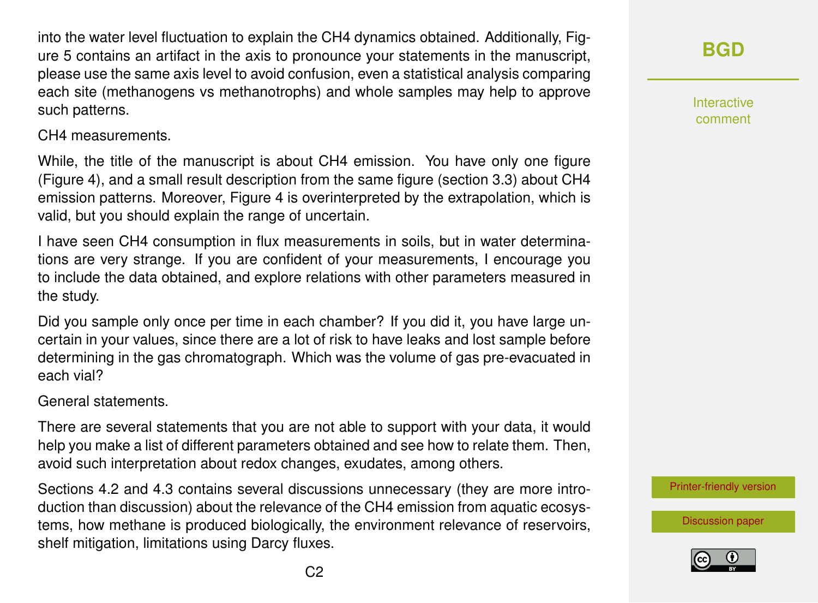into the water level fluctuation to explain the CH4 dynamics obtained. Additionally, Figure 5 contains an artifact in the axis to pronounce your statements in the manuscript, please use the same axis level to avoid confusion, even a statistical analysis comparing each site (methanogens vs methanotrophs) and whole samples may help to approve such patterns.

CH4 measurements.

While, the title of the manuscript is about CH4 emission. You have only one figure (Figure 4), and a small result description from the same figure (section 3.3) about CH4 emission patterns. Moreover, Figure 4 is overinterpreted by the extrapolation, which is valid, but you should explain the range of uncertain.

I have seen CH4 consumption in flux measurements in soils, but in water determinations are very strange. If you are confident of your measurements, I encourage you to include the data obtained, and explore relations with other parameters measured in the study.

Did you sample only once per time in each chamber? If you did it, you have large uncertain in your values, since there are a lot of risk to have leaks and lost sample before determining in the gas chromatograph. Which was the volume of gas pre-evacuated in each vial?

General statements.

There are several statements that you are not able to support with your data, it would help you make a list of different parameters obtained and see how to relate them. Then, avoid such interpretation about redox changes, exudates, among others.

Sections 4.2 and 4.3 contains several discussions unnecessary (they are more introduction than discussion) about the relevance of the CH4 emission from aquatic ecosystems, how methane is produced biologically, the environment relevance of reservoirs, shelf mitigation, limitations using Darcy fluxes.

Interactive comment

[Printer-friendly version](https://www.biogeosciences-discuss.net/bg-2018-380/bg-2018-380-RC2-print.pdf)

[Discussion paper](https://www.biogeosciences-discuss.net/bg-2018-380)